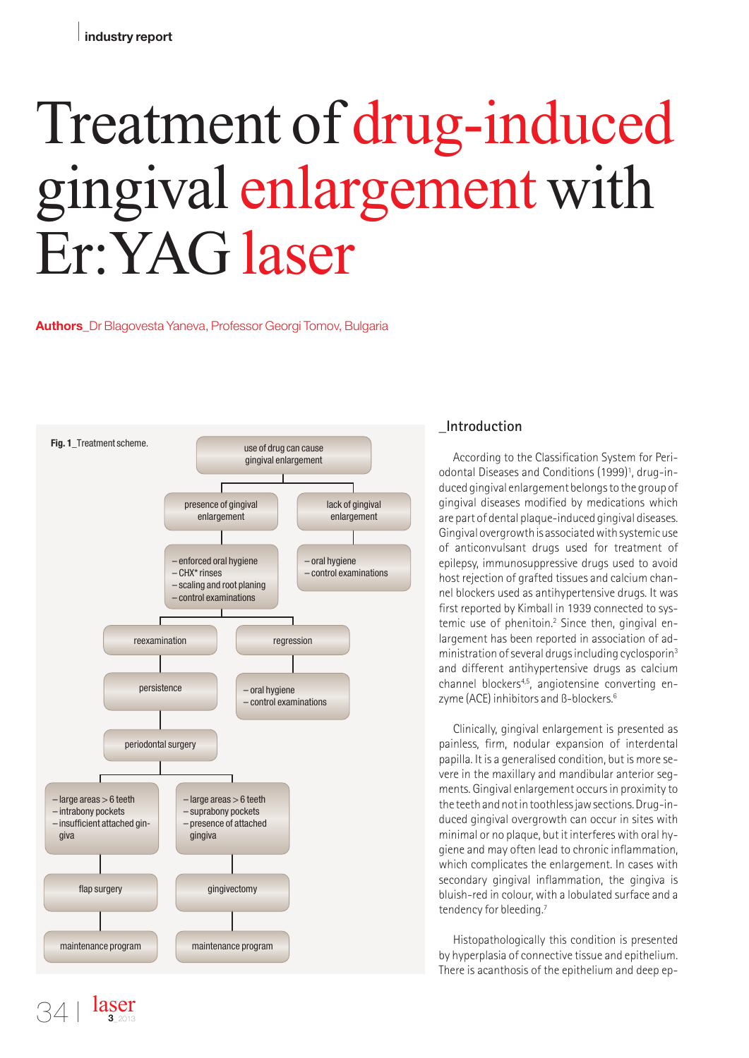# Treatment of drug-induced gingival enlargement with Er:YAG laser

#### **Authors**\_Dr Blagovesta Yaneva, Professor Georgi Tomov, Bulgaria



laser **3**\_2013

# **\_Introduction**

According to the Classification System for Periodontal Diseases and Conditions (1999) 1 , drug-induced gingival enlargement belongsto the group of gingival diseases modified by medications which are part of dental plaque-induced gingival diseases. Gingival overgrowth is associated with systemic use of anticonvulsant drugs used for treatment of epilepsy, immunosuppressive drugs used to avoid host rejection of grafted tissues and calcium channel blockers used as antihypertensive drugs. It was first reported by Kimball in 1939 connected to systemic use of phenitoin. <sup>2</sup> Since then, gingival enlargement has been reported in association of administration of several drugs including cyclosporin<sup>3</sup> and different antihypertensive drugs as calcium channel blockers<sup>4,5</sup>, angiotensine converting enzyme (ACE) inhibitors and ß-blockers. 6

Clinically, gingival enlargement is presented as painless, firm, nodular expansion of interdental papilla. It is a generalised condition, but is more severe in the maxillary and mandibular anterior segments. Gingival enlargement occursin proximity to the teeth and not in toothless jaw sections. Drug-induced gingival overgrowth can occur in sites with minimal or no plaque, but it interfereswith oral hygiene and may often lead to chronic inflammation, which complicates the enlargement. In cases with secondary gingival inflammation, the gingiva is bluish-red in colour, with a lobulated surface and a tendency for bleeding. 7

Histopathologically this condition is presented by hyperplasia of connective tissue and epithelium. There is acanthosis of the epithelium and deep ep-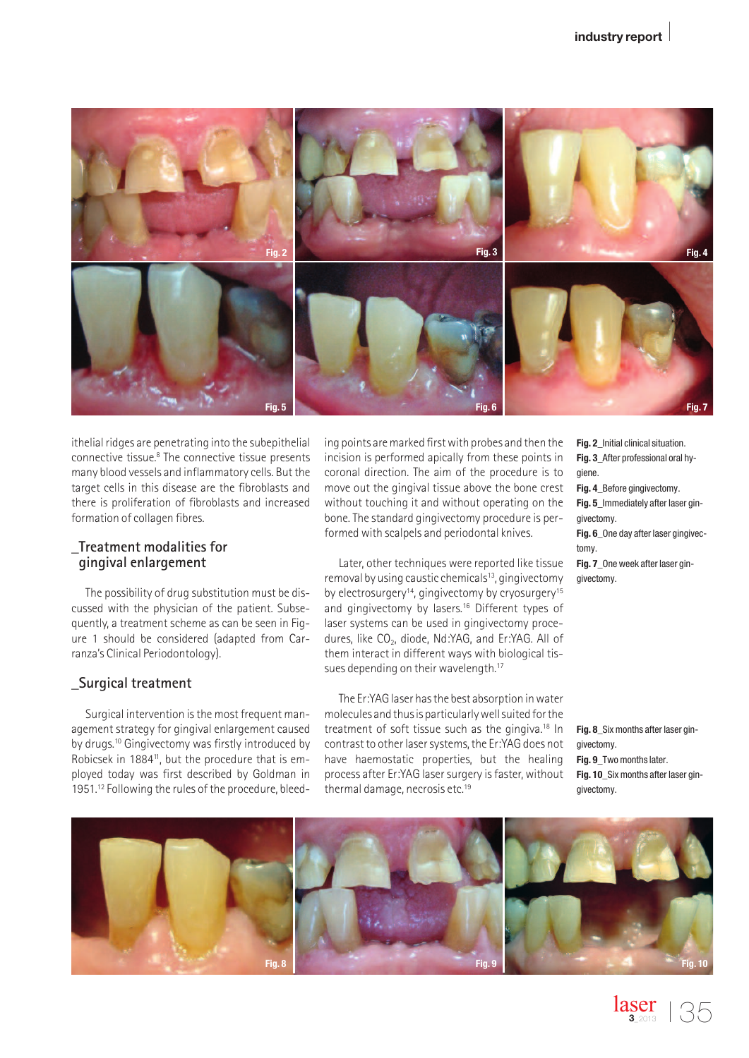

ithelial ridges are penetrating into the subepithelial connective tissue. <sup>8</sup> The connective tissue presents many blood vessels and inflammatory cells. But the target cells in this disease are the fibroblasts and there is proliferation of fibroblasts and increased formation of collagen fibres.

#### **\_Treatment modalities for gingival enlargement**

The possibility of drug substitution must be discussed with the physician of the patient. Subsequently, a treatment scheme as can be seen in Figure 1 should be considered (adapted from Carranza's Clinical Periodontology).

### **\_Surgical treatment**

Surgical intervention is the most frequent management strategy for gingival enlargement caused by drugs. <sup>10</sup> Gingivectomy was firstly introduced by Robicsek in 1884<sup>11</sup>, but the procedure that is employed today was first described by Goldman in 1951. <sup>12</sup> Following the rules of the procedure, bleeding points are marked first with probes and then the incision is performed apically from these points in coronal direction. The aim of the procedure is to move out the gingival tissue above the bone crest without touching it and without operating on the bone.The standard gingivectomy procedure is performed with scalpels and periodontal knives.

Later, other techniques were reported like tissue removal by using caustic chemicals<sup>13</sup>, gingivectomy by electrosurgery<sup>14</sup>, gingivectomy by cryosurgery<sup>15</sup> and gingivectomy by lasers. <sup>16</sup> Different types of laser systems can be used in gingivectomy procedures, like CO<sub>2</sub>, diode, Nd:YAG, and Er:YAG. All of them interact in different ways with biological tissues depending on their wavelength.<sup>17</sup>

The Er:YAGlaser hasthe best absorption inwater molecules and thusis particularlywellsuited forthe treatment of soft tissue such as the gingiva. <sup>18</sup> In contrast to other laser systems, the Er:YAG does not have haemostatic properties, but the healing process after Er:YAG laser surgery is faster, without thermal damage, necrosis etc. 19

- **Fig. 2**\_Initial clinical situation. **Fig. 3**\_After professional oral hygiene.
- **Fig. 4**\_Before gingivectomy.
- **Fig. 5**\_Immediately after laser gingivectomy.
- **Fig. 6**\_One day after laser gingivectomy.

**Fig. 7**\_One week after laser gingivectomy.

**Fig. 8**\_Six months after laser gingivectomy. **Fig. 9**\_Two months later. **Fig. 10**\_Six months after laser gingivectomy.

 $\frac{\text{laser}}{\text{s}_{2013}}$  | 35

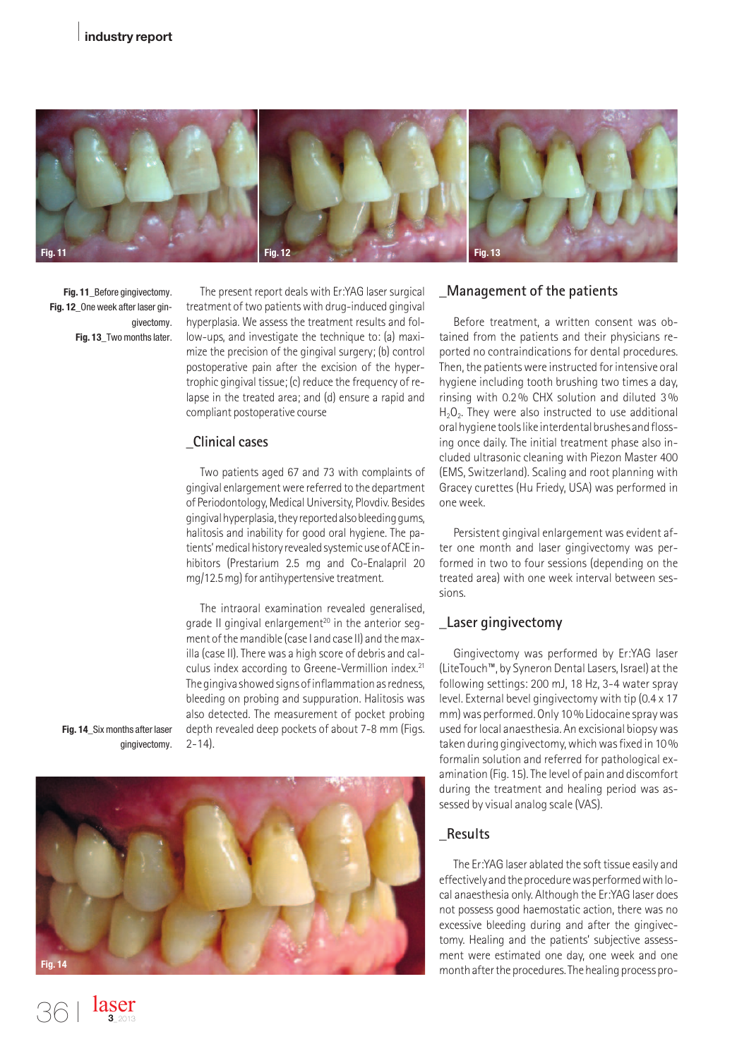

**Fig. 11**\_Before gingivectomy. **Fig. 12**\_One week after laser gingivectomy. **Fig. 13**\_Two months later.

The present report deals with Er:YAG laser surgical treatment of two patients with drug-induced gingival hyperplasia. We assess the treatment results and follow-ups, and investigate the technique to: (a) maximize the precision of the gingival surgery; (b) control postoperative pain after the excision of the hypertrophic gingival tissue; (c) reduce the frequency of relapse in the treated area; and (d) ensure a rapid and compliant postoperative course

## **\_Clinical cases**

Two patients aged 67 and 73 with complaints of gingival enlargementwere referred to the department of Periodontology, Medical University, Plovdiv. Besides gingivalhyperplasia,theyreportedalsobleedinggums, halitosis and inability for good oral hygiene. The patients' medical history revealed systemic use of ACE inhibitors (Prestarium 2.5 mg and Co-Enalapril 20 mg/12.5 mg) for antihypertensive treatment.

The intraoral examination revealed generalised, grade II gingival enlargement <sup>20</sup> in the anterior segment ofthemandible (case I and case II) and themaxilla (case II).There was a high score of debris and calculus index according to Greene-Vermillion index. 21 The gingiva showed signs of inflammation as redness, bleeding on probing and suppuration. Halitosis was also detected. The measurement of pocket probing depth revealed deep pockets of about 7-8 mm (Figs.  $2 - 14$ ).

**Fig. 14**\_Six months after laser gingivectomy.

> laser **3**\_2013



## **\_Management of the patients**

Before treatment, a written consent was obtained from the patients and their physicians reported no contraindications for dental procedures. Then, the patients were instructed for intensive oral hygiene including tooth brushing two times a day, rinsing with 0.2% CHX solution and diluted 3%  $H<sub>2</sub>O<sub>2</sub>$ . They were also instructed to use additional oral hygiene tools like interdental brushes and flossing once daily. The initial treatment phase also included ultrasonic cleaning with Piezon Master 400 (EMS, Switzerland). Scaling and root planning with Gracey curettes (Hu Friedy, USA) was performed in one week.

Persistent gingival enlargement was evident after one month and laser gingivectomy was performed in two to four sessions (depending on the treated area) with one week interval between sessions.

### **\_Laser gingivectomy**

Gingivectomy was performed by Er:YAG laser (LiteTouch™, by Syneron DentalLasers, Israel) atthe following settings: 200 mJ, 18 Hz, 3-4 water spray level. External bevel gingivectomy with tip (0.4 x 17 mm) was performed. Only 10% Lidocaine spray was used forlocal anaesthesia. An excisional biopsywas taken during gingivectomy, which was fixed in 10% formalin solution and referred for pathological examination (Fig. 15).The level of pain and discomfort during the treatment and healing period was assessed by visual analog scale (VAS).

## **\_Results**

The Er:YAG laser ablated the soft tissue easily and effectively and the procedure was performed with local anaesthesia only. Although the Er:YAG laser does not possess good haemostatic action, there was no excessive bleeding during and after the gingivectomy. Healing and the patients' subjective assessment were estimated one day, one week and one month after the procedures. The healing process pro-